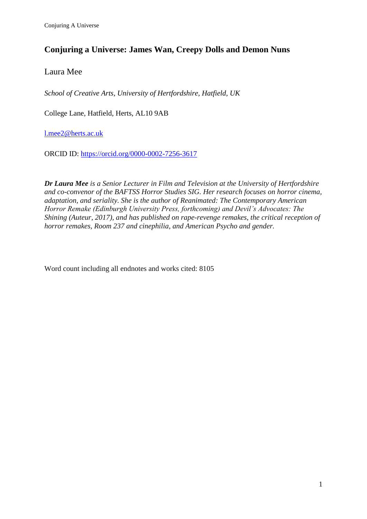# **Conjuring a Universe: James Wan, Creepy Dolls and Demon Nuns**

Laura Mee

*School of Creative Arts, University of Hertfordshire, Hatfield, UK*

College Lane, Hatfield, Herts, AL10 9AB

[l.mee2@herts.ac.uk](mailto:l.mee2@herts.ac.uk)

ORCID ID:<https://orcid.org/0000-0002-7256-3617>

*Dr Laura Mee is a Senior Lecturer in Film and Television at the University of Hertfordshire and co-convenor of the BAFTSS Horror Studies SIG. Her research focuses on horror cinema, adaptation, and seriality. She is the author of Reanimated: The Contemporary American Horror Remake (Edinburgh University Press, forthcoming) and Devil's Advocates: The Shining (Auteur, 2017), and has published on rape-revenge remakes, the critical reception of horror remakes, Room 237 and cinephilia, and American Psycho and gender.*

Word count including all endnotes and works cited: 8105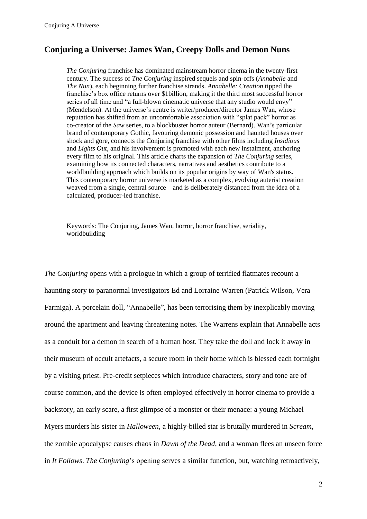## **Conjuring a Universe: James Wan, Creepy Dolls and Demon Nuns**

*The Conjuring* franchise has dominated mainstream horror cinema in the twenty-first century. The success of *The Conjuring* inspired sequels and spin-offs (*Annabelle* and *The Nun*), each beginning further franchise strands. *Annabelle: Creation* tipped the franchise's box office returns over \$1billion, making it the third most successful horror series of all time and "a full-blown cinematic universe that any studio would envy" (Mendelson). At the universe's centre is writer/producer/director James Wan, whose reputation has shifted from an uncomfortable association with "splat pack" horror as co-creator of the *Saw* series, to a blockbuster horror auteur (Bernard). Wan's particular brand of contemporary Gothic, favouring demonic possession and haunted houses over shock and gore, connects the Conjuring franchise with other films including *Insidious* and *Lights Out*, and his involvement is promoted with each new instalment, anchoring every film to his original. This article charts the expansion of *The Conjuring* series, examining how its connected characters, narratives and aesthetics contribute to a worldbuilding approach which builds on its popular origins by way of Wan's status. This contemporary horror universe is marketed as a complex, evolving auterist creation weaved from a single, central source—and is deliberately distanced from the idea of a calculated, producer-led franchise.

Keywords: The Conjuring, James Wan, horror, horror franchise, seriality, worldbuilding

*The Conjuring* opens with a prologue in which a group of terrified flatmates recount a haunting story to paranormal investigators Ed and Lorraine Warren (Patrick Wilson, Vera Farmiga). A porcelain doll, "Annabelle", has been terrorising them by inexplicably moving around the apartment and leaving threatening notes. The Warrens explain that Annabelle acts as a conduit for a demon in search of a human host. They take the doll and lock it away in their museum of occult artefacts, a secure room in their home which is blessed each fortnight by a visiting priest. Pre-credit setpieces which introduce characters, story and tone are of course common, and the device is often employed effectively in horror cinema to provide a backstory, an early scare, a first glimpse of a monster or their menace: a young Michael Myers murders his sister in *Halloween*, a highly-billed star is brutally murdered in *Scream*, the zombie apocalypse causes chaos in *Dawn of the Dead*, and a woman flees an unseen force in *It Follows*. *The Conjuring*'s opening serves a similar function, but, watching retroactively,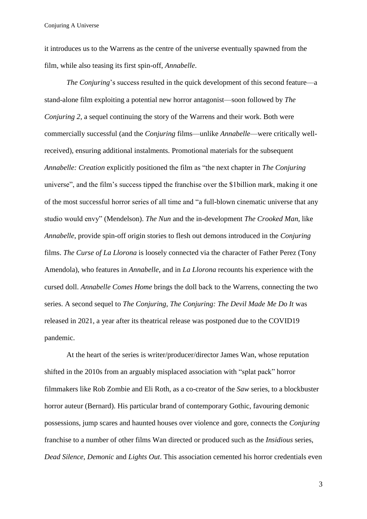it introduces us to the Warrens as the centre of the universe eventually spawned from the film, while also teasing its first spin-off, *Annabelle*.

*The Conjuring*'s success resulted in the quick development of this second feature—a stand-alone film exploiting a potential new horror antagonist—soon followed by *The Conjuring 2*, a sequel continuing the story of the Warrens and their work. Both were commercially successful (and the *Conjuring* films—unlike *Annabelle*—were critically wellreceived), ensuring additional instalments. Promotional materials for the subsequent *Annabelle: Creation* explicitly positioned the film as "the next chapter in *The Conjuring* universe", and the film's success tipped the franchise over the \$1billion mark, making it one of the most successful horror series of all time and "a full-blown cinematic universe that any studio would envy" (Mendelson). *The Nun* and the in-development *The Crooked Man*, like *Annabelle*, provide spin-off origin stories to flesh out demons introduced in the *Conjuring* films. *The Curse of La Llorona* is loosely connected via the character of Father Perez (Tony Amendola), who features in *Annabelle*, and in *La Llorona* recounts his experience with the cursed doll. *Annabelle Comes Home* brings the doll back to the Warrens, connecting the two series. A second sequel to *The Conjuring*, *The Conjuring: The Devil Made Me Do It* was released in 2021, a year after its theatrical release was postponed due to the COVID19 pandemic.

At the heart of the series is writer/producer/director James Wan, whose reputation shifted in the 2010s from an arguably misplaced association with "splat pack" horror filmmakers like Rob Zombie and Eli Roth, as a co-creator of the *Saw* series, to a blockbuster horror auteur (Bernard). His particular brand of contemporary Gothic, favouring demonic possessions, jump scares and haunted houses over violence and gore, connects the *Conjuring* franchise to a number of other films Wan directed or produced such as the *Insidious* series, *Dead Silence*, *Demonic* and *Lights Out*. This association cemented his horror credentials even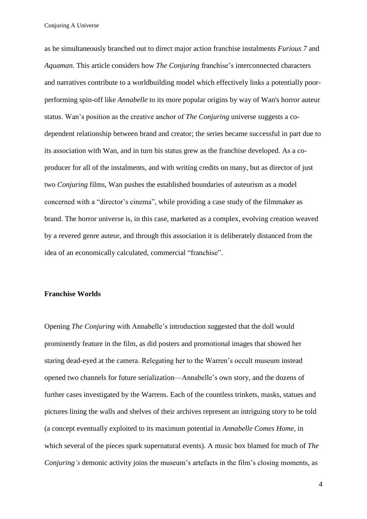as he simultaneously branched out to direct major action franchise instalments *Furious 7* and *Aquaman*. This article considers how *The Conjuring* franchise's interconnected characters and narratives contribute to a worldbuilding model which effectively links a potentially poorperforming spin-off like *Annabelle* to its more popular origins by way of Wan's horror auteur status. Wan's position as the creative anchor of *The Conjuring* universe suggests a codependent relationship between brand and creator; the series became successful in part due to its association with Wan, and in turn his status grew as the franchise developed. As a coproducer for all of the instalments, and with writing credits on many, but as director of just two *Conjuring* films, Wan pushes the established boundaries of auteurism as a model concerned with a "director's cinema", while providing a case study of the filmmaker as brand. The horror universe is, in this case, marketed as a complex, evolving creation weaved by a revered genre auteur, and through this association it is deliberately distanced from the idea of an economically calculated, commercial "franchise".

### **Franchise Worlds**

Opening *The Conjuring* with Annabelle's introduction suggested that the doll would prominently feature in the film, as did posters and promotional images that showed her staring dead-eyed at the camera. Relegating her to the Warren's occult museum instead opened two channels for future serialization—Annabelle's own story, and the dozens of further cases investigated by the Warrens. Each of the countless trinkets, masks, statues and pictures lining the walls and shelves of their archives represent an intriguing story to be told (a concept eventually exploited to its maximum potential in *Annabelle Comes Home*, in which several of the pieces spark supernatural events). A music box blamed for much of *The Conjuring's* demonic activity joins the museum's artefacts in the film's closing moments, as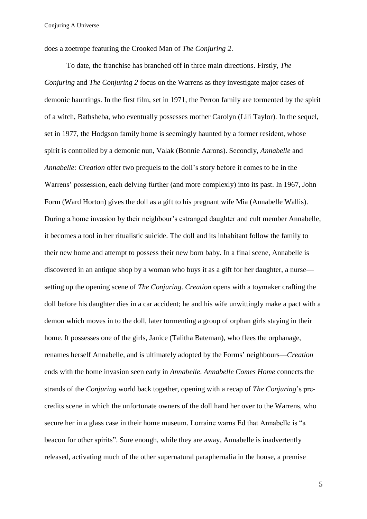does a zoetrope featuring the Crooked Man of *The Conjuring 2*.

To date, the franchise has branched off in three main directions. Firstly, *The Conjuring* and *The Conjuring 2* focus on the Warrens as they investigate major cases of demonic hauntings. In the first film, set in 1971, the Perron family are tormented by the spirit of a witch, Bathsheba, who eventually possesses mother Carolyn (Lili Taylor). In the sequel, set in 1977, the Hodgson family home is seemingly haunted by a former resident, whose spirit is controlled by a demonic nun, Valak (Bonnie Aarons). Secondly, *Annabelle* and *Annabelle: Creation* offer two prequels to the doll's story before it comes to be in the Warrens' possession, each delving further (and more complexly) into its past. In 1967, John Form (Ward Horton) gives the doll as a gift to his pregnant wife Mia (Annabelle Wallis). During a home invasion by their neighbour's estranged daughter and cult member Annabelle, it becomes a tool in her ritualistic suicide. The doll and its inhabitant follow the family to their new home and attempt to possess their new born baby. In a final scene, Annabelle is discovered in an antique shop by a woman who buys it as a gift for her daughter, a nurse setting up the opening scene of *The Conjuring*. *Creation* opens with a toymaker crafting the doll before his daughter dies in a car accident; he and his wife unwittingly make a pact with a demon which moves in to the doll, later tormenting a group of orphan girls staying in their home. It possesses one of the girls, Janice (Talitha Bateman), who flees the orphanage, renames herself Annabelle, and is ultimately adopted by the Forms' neighbours—*Creation* ends with the home invasion seen early in *Annabelle*. *Annabelle Comes Home* connects the strands of the *Conjuring* world back together, opening with a recap of *The Conjuring*'s precredits scene in which the unfortunate owners of the doll hand her over to the Warrens, who secure her in a glass case in their home museum. Lorraine warns Ed that Annabelle is "a beacon for other spirits". Sure enough, while they are away, Annabelle is inadvertently released, activating much of the other supernatural paraphernalia in the house, a premise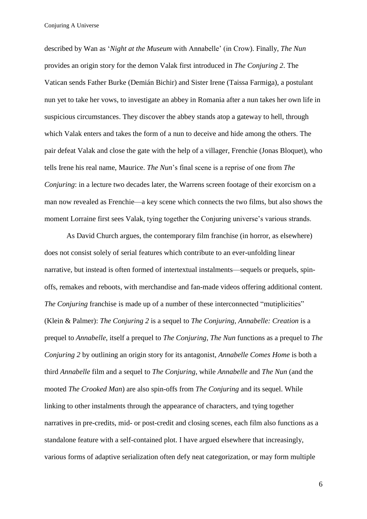described by Wan as '*Night at the Museum* with Annabelle' (in Crow). Finally, *The Nun*  provides an origin story for the demon Valak first introduced in *The Conjuring 2*. The Vatican sends Father Burke (Demián Bichir) and Sister Irene (Taissa Farmiga), a postulant nun yet to take her vows, to investigate an abbey in Romania after a nun takes her own life in suspicious circumstances. They discover the abbey stands atop a gateway to hell, through which Valak enters and takes the form of a nun to deceive and hide among the others. The pair defeat Valak and close the gate with the help of a villager, Frenchie (Jonas Bloquet), who tells Irene his real name, Maurice. *The Nun*'s final scene is a reprise of one from *The Conjuring*: in a lecture two decades later, the Warrens screen footage of their exorcism on a man now revealed as Frenchie—a key scene which connects the two films, but also shows the moment Lorraine first sees Valak, tying together the Conjuring universe's various strands.

As David Church argues, the contemporary film franchise (in horror, as elsewhere) does not consist solely of serial features which contribute to an ever-unfolding linear narrative, but instead is often formed of intertextual instalments—sequels or prequels, spinoffs, remakes and reboots, with merchandise and fan-made videos offering additional content. *The Conjuring* franchise is made up of a number of these interconnected "mutiplicities" (Klein & Palmer): *The Conjuring 2* is a sequel to *The Conjuring*, *Annabelle: Creation* is a prequel to *Annabelle*, itself a prequel to *The Conjuring*, *The Nun* functions as a prequel to *The Conjuring 2* by outlining an origin story for its antagonist, *Annabelle Comes Home* is both a third *Annabelle* film and a sequel to *The Conjuring*, while *Annabelle* and *The Nun* (and the mooted *The Crooked Man*) are also spin-offs from *The Conjuring* and its sequel. While linking to other instalments through the appearance of characters, and tying together narratives in pre-credits, mid- or post-credit and closing scenes, each film also functions as a standalone feature with a self-contained plot. I have argued elsewhere that increasingly, various forms of adaptive serialization often defy neat categorization, or may form multiple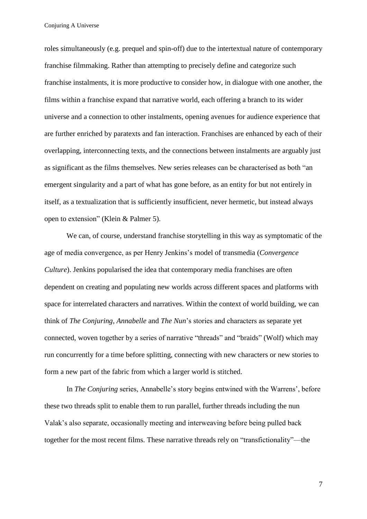roles simultaneously (e.g. prequel and spin-off) due to the intertextual nature of contemporary franchise filmmaking. Rather than attempting to precisely define and categorize such franchise instalments, it is more productive to consider how, in dialogue with one another, the films within a franchise expand that narrative world, each offering a branch to its wider universe and a connection to other instalments, opening avenues for audience experience that are further enriched by paratexts and fan interaction. Franchises are enhanced by each of their overlapping, interconnecting texts, and the connections between instalments are arguably just as significant as the films themselves. New series releases can be characterised as both "an emergent singularity and a part of what has gone before, as an entity for but not entirely in itself, as a textualization that is sufficiently insufficient, never hermetic, but instead always open to extension" (Klein & Palmer 5).

We can, of course, understand franchise storytelling in this way as symptomatic of the age of media convergence, as per Henry Jenkins's model of transmedia (*Convergence Culture*). Jenkins popularised the idea that contemporary media franchises are often dependent on creating and populating new worlds across different spaces and platforms with space for interrelated characters and narratives. Within the context of world building, we can think of *The Conjuring*, *Annabelle* and *The Nun*'s stories and characters as separate yet connected, woven together by a series of narrative "threads" and "braids" (Wolf) which may run concurrently for a time before splitting, connecting with new characters or new stories to form a new part of the fabric from which a larger world is stitched.

In *The Conjuring* series, Annabelle's story begins entwined with the Warrens', before these two threads split to enable them to run parallel, further threads including the nun Valak's also separate, occasionally meeting and interweaving before being pulled back together for the most recent films. These narrative threads rely on "transfictionality"—the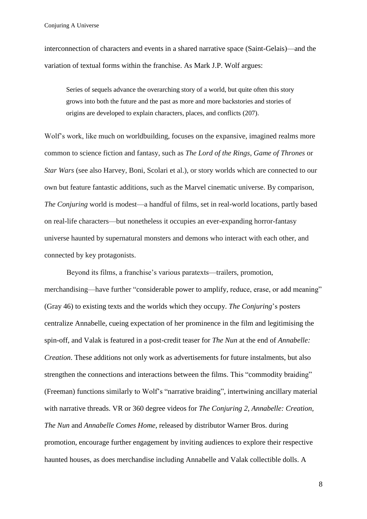interconnection of characters and events in a shared narrative space (Saint-Gelais)—and the variation of textual forms within the franchise. As Mark J.P. Wolf argues:

Series of sequels advance the overarching story of a world, but quite often this story grows into both the future and the past as more and more backstories and stories of origins are developed to explain characters, places, and conflicts (207).

Wolf's work, like much on worldbuilding, focuses on the expansive, imagined realms more common to science fiction and fantasy, such as *The Lord of the Rings*, *Game of Thrones* or *Star Wars* (see also Harvey, Boni, Scolari et al.), or story worlds which are connected to our own but feature fantastic additions, such as the Marvel cinematic universe. By comparison, *The Conjuring* world is modest—a handful of films, set in real-world locations, partly based on real-life characters—but nonetheless it occupies an ever-expanding horror-fantasy universe haunted by supernatural monsters and demons who interact with each other, and connected by key protagonists.

Beyond its films, a franchise's various paratexts—trailers, promotion, merchandising—have further "considerable power to amplify, reduce, erase, or add meaning" (Gray 46) to existing texts and the worlds which they occupy. *The Conjuring*'s posters centralize Annabelle, cueing expectation of her prominence in the film and legitimising the spin-off, and Valak is featured in a post-credit teaser for *The Nun* at the end of *Annabelle: Creation*. These additions not only work as advertisements for future instalments, but also strengthen the connections and interactions between the films. This "commodity braiding" (Freeman) functions similarly to Wolf's "narrative braiding", intertwining ancillary material with narrative threads. VR or 360 degree videos for *The Conjuring 2*, *Annabelle: Creation*, *The Nun* and *Annabelle Comes Home*, released by distributor Warner Bros. during promotion, encourage further engagement by inviting audiences to explore their respective haunted houses, as does merchandise including Annabelle and Valak collectible dolls. A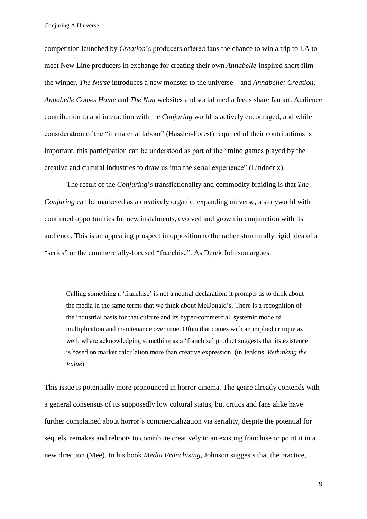competition launched by *Creation*'s producers offered fans the chance to win a trip to LA to meet New Line producers in exchange for creating their own *Annabelle*-inspired short film the winner, *The Nurse* introduces a new monster to the universe—and *Annabelle: Creation*, *Annabelle Comes Home* and *The Nun* websites and social media feeds share fan art. Audience contribution to and interaction with the *Conjuring* world is actively encouraged, and while consideration of the "immaterial labour" (Hassler-Forest) required of their contributions is important, this participation can be understood as part of the "mind games played by the creative and cultural industries to draw us into the serial experience" (Lindner x).

The result of the *Conjuring*'s transfictionality and commodity braiding is that *The Conjuring* can be marketed as a creatively organic, expanding universe, a storyworld with continued opportunities for new instalments, evolved and grown in conjunction with its audience. This is an appealing prospect in opposition to the rather structurally rigid idea of a "series" or the commercially-focused "franchise". As Derek Johnson argues:

Calling something a 'franchise' is not a neutral declaration: it prompts us to think about the media in the same terms that we think about McDonald's. There is a recognition of the industrial basis for that culture and its hyper-commercial, systemic mode of multiplication and maintenance over time. Often that comes with an implied critique as well, where acknowledging something as a 'franchise' product suggests that its existence is based on market calculation more than creative expression. (in Jenkins, *Rethinking the Value*)

This issue is potentially more pronounced in horror cinema. The genre already contends with a general consensus of its supposedly low cultural status, but critics and fans alike have further complained about horror's commercialization via seriality, despite the potential for sequels, remakes and reboots to contribute creatively to an existing franchise or point it in a new direction (Mee). In his book *Media Franchising*, Johnson suggests that the practice,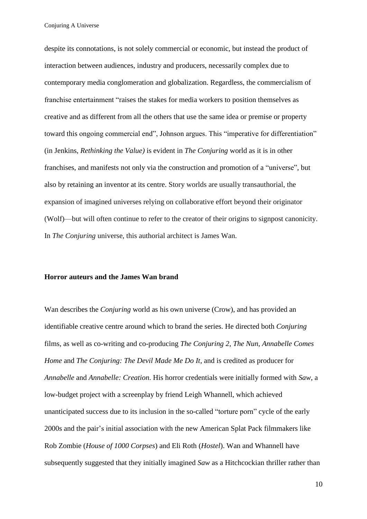despite its connotations, is not solely commercial or economic, but instead the product of interaction between audiences, industry and producers, necessarily complex due to contemporary media conglomeration and globalization. Regardless, the commercialism of franchise entertainment "raises the stakes for media workers to position themselves as creative and as different from all the others that use the same idea or premise or property toward this ongoing commercial end", Johnson argues. This "imperative for differentiation" (in Jenkins, *Rethinking the Value)* is evident in *The Conjuring* world as it is in other franchises, and manifests not only via the construction and promotion of a "universe", but also by retaining an inventor at its centre. Story worlds are usually transauthorial, the expansion of imagined universes relying on collaborative effort beyond their originator (Wolf)—but will often continue to refer to the creator of their origins to signpost canonicity. In *The Conjuring* universe, this authorial architect is James Wan.

#### **Horror auteurs and the James Wan brand**

Wan describes the *Conjuring* world as his own universe (Crow), and has provided an identifiable creative centre around which to brand the series. He directed both *Conjuring* films, as well as co-writing and co-producing *The Conjuring 2*, *The Nun*, *Annabelle Comes Home* and *The Conjuring: The Devil Made Me Do It*, and is credited as producer for *Annabelle* and *Annabelle: Creation*. His horror credentials were initially formed with *Saw*, a low-budget project with a screenplay by friend Leigh Whannell, which achieved unanticipated success due to its inclusion in the so-called "torture porn" cycle of the early 2000s and the pair's initial association with the new American Splat Pack filmmakers like Rob Zombie (*House of 1000 Corpses*) and Eli Roth (*Hostel*). Wan and Whannell have subsequently suggested that they initially imagined *Saw* as a Hitchcockian thriller rather than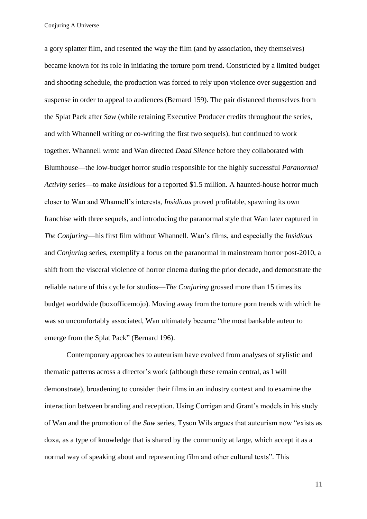a gory splatter film, and resented the way the film (and by association, they themselves) became known for its role in initiating the torture porn trend. Constricted by a limited budget and shooting schedule, the production was forced to rely upon violence over suggestion and suspense in order to appeal to audiences (Bernard 159). The pair distanced themselves from the Splat Pack after *Saw* (while retaining Executive Producer credits throughout the series, and with Whannell writing or co-writing the first two sequels), but continued to work together. Whannell wrote and Wan directed *Dead Silence* before they collaborated with Blumhouse—the low-budget horror studio responsible for the highly successful *Paranormal Activity* series—to make *Insidious* for a reported \$1.5 million. A haunted-house horror much closer to Wan and Whannell's interests, *Insidious* proved profitable, spawning its own franchise with three sequels, and introducing the paranormal style that Wan later captured in *The Conjuring*—his first film without Whannell. Wan's films, and especially the *Insidious*  and *Conjuring* series, exemplify a focus on the paranormal in mainstream horror post-2010, a shift from the visceral violence of horror cinema during the prior decade, and demonstrate the reliable nature of this cycle for studios—*The Conjuring* grossed more than 15 times its budget worldwide (boxofficemojo). Moving away from the torture porn trends with which he was so uncomfortably associated, Wan ultimately became "the most bankable auteur to emerge from the Splat Pack" (Bernard 196).

Contemporary approaches to auteurism have evolved from analyses of stylistic and thematic patterns across a director's work (although these remain central, as I will demonstrate), broadening to consider their films in an industry context and to examine the interaction between branding and reception. Using Corrigan and Grant's models in his study of Wan and the promotion of the *Saw* series, Tyson Wils argues that auteurism now "exists as doxa, as a type of knowledge that is shared by the community at large, which accept it as a normal way of speaking about and representing film and other cultural texts". This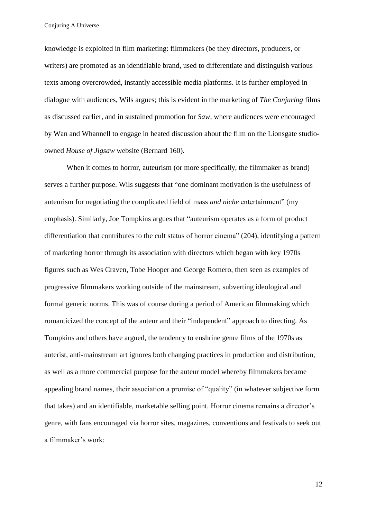knowledge is exploited in film marketing: filmmakers (be they directors, producers, or writers) are promoted as an identifiable brand, used to differentiate and distinguish various texts among overcrowded, instantly accessible media platforms. It is further employed in dialogue with audiences, Wils argues; this is evident in the marketing of *The Conjuring* films as discussed earlier, and in sustained promotion for *Saw*, where audiences were encouraged by Wan and Whannell to engage in heated discussion about the film on the Lionsgate studioowned *House of Jigsaw* website (Bernard 160).

When it comes to horror, auteurism (or more specifically, the filmmaker as brand) serves a further purpose. Wils suggests that "one dominant motivation is the usefulness of auteurism for negotiating the complicated field of mass *and niche* entertainment" (my emphasis). Similarly, Joe Tompkins argues that "auteurism operates as a form of product differentiation that contributes to the cult status of horror cinema" (204), identifying a pattern of marketing horror through its association with directors which began with key 1970s figures such as Wes Craven, Tobe Hooper and George Romero, then seen as examples of progressive filmmakers working outside of the mainstream, subverting ideological and formal generic norms. This was of course during a period of American filmmaking which romanticized the concept of the auteur and their "independent" approach to directing. As Tompkins and others have argued, the tendency to enshrine genre films of the 1970s as auterist, anti-mainstream art ignores both changing practices in production and distribution, as well as a more commercial purpose for the auteur model whereby filmmakers became appealing brand names, their association a promise of "quality" (in whatever subjective form that takes) and an identifiable, marketable selling point. Horror cinema remains a director's genre, with fans encouraged via horror sites, magazines, conventions and festivals to seek out a filmmaker's work: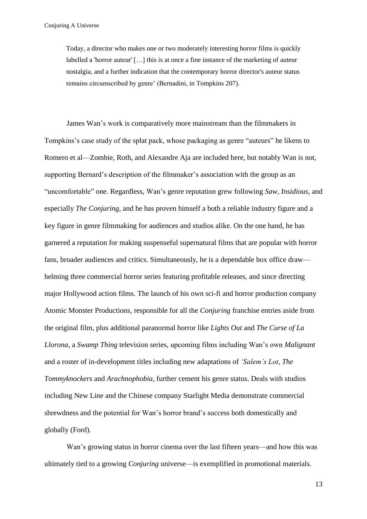Today, a director who makes one or two moderately interesting horror films is quickly labelled a 'horror auteur' […] this is at once a fine instance of the marketing of auteur nostalgia, and a further indication that the contemporary horror director's auteur status remains circumscribed by genre' (Bernadini, in Tompkins 207).

James Wan's work is comparatively more mainstream than the filmmakers in Tompkins's case study of the splat pack, whose packaging as genre "auteurs" he likens to Romero et al—Zombie, Roth, and Alexandre Aja are included here, but notably Wan is not, supporting Bernard's description of the filmmaker's association with the group as an "uncomfortable" one. Regardless, Wan's genre reputation grew following *Saw*, *Insidious,* and especially *The Conjuring*, and he has proven himself a both a reliable industry figure and a key figure in genre filmmaking for audiences and studios alike. On the one hand, he has garnered a reputation for making suspenseful supernatural films that are popular with horror fans, broader audiences and critics. Simultaneously, he is a dependable box office draw helming three commercial horror series featuring profitable releases, and since directing major Hollywood action films. The launch of his own sci-fi and horror production company Atomic Monster Productions, responsible for all the *Conjuring* franchise entries aside from the original film, plus additional paranormal horror like *Lights Out* and *The Curse of La Llorona*, a *Swamp Thing* television series, upcoming films including Wan's own *Malignant* and a roster of in-development titles including new adaptations of *'Salem's Lot*, *The Tommyknockers* and *Arachnophobia*, further cement his genre status. Deals with studios including New Line and the Chinese company Starlight Media demonstrate commercial shrewdness and the potential for Wan's horror brand's success both domestically and globally (Ford).

Wan's growing status in horror cinema over the last fifteen years—and how this was ultimately tied to a growing *Conjuring* universe—is exemplified in promotional materials.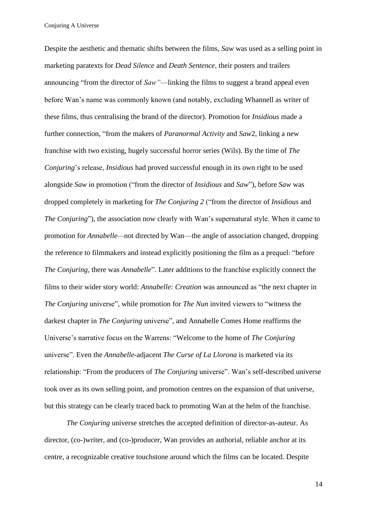Despite the aesthetic and thematic shifts between the films, *Saw* was used as a selling point in marketing paratexts for *Dead Silence* and *Death Sentence*, their posters and trailers announcing "from the director of *Saw"*—linking the films to suggest a brand appeal even before Wan's name was commonly known (and notably, excluding Whannell as writer of these films, thus centralising the brand of the director). Promotion for *Insidious* made a further connection, "from the makers of *Paranormal Activity* and *Saw*2, linking a new franchise with two existing, hugely successful horror series (Wils). By the time of *The Conjuring*'s release, *Insidious* had proved successful enough in its own right to be used alongside *Saw* in promotion ("from the director of *Insidious* and *Saw*"), before *Saw* was dropped completely in marketing for *The Conjuring 2* ("from the director of *Insidious* and *The Conjuring*"), the association now clearly with Wan's supernatural style. When it came to promotion for *Annabelle—*not directed by Wan—the angle of association changed, dropping the reference to filmmakers and instead explicitly positioning the film as a prequel: "before *The Conjuring*, there was *Annabelle*". Later additions to the franchise explicitly connect the films to their wider story world: *Annabelle: Creation* was announced as "the next chapter in *The Conjuring* universe", while promotion for *The Nun* invited viewers to "witness the darkest chapter in *The Conjuring* universe", and Annabelle Comes Home reaffirms the Universe's narrative focus on the Warrens: "Welcome to the home of *The Conjuring* universe". Even the *Annabelle*-adjacent *The Curse of La Llorona* is marketed via its relationship: "From the producers of *The Conjuring* universe". Wan's self-described universe took over as its own selling point, and promotion centres on the expansion of that universe, but this strategy can be clearly traced back to promoting Wan at the helm of the franchise.

*The Conjuring* universe stretches the accepted definition of director-as-auteur. As director, (co-)writer, and (co-)producer, Wan provides an authorial, reliable anchor at its centre, a recognizable creative touchstone around which the films can be located. Despite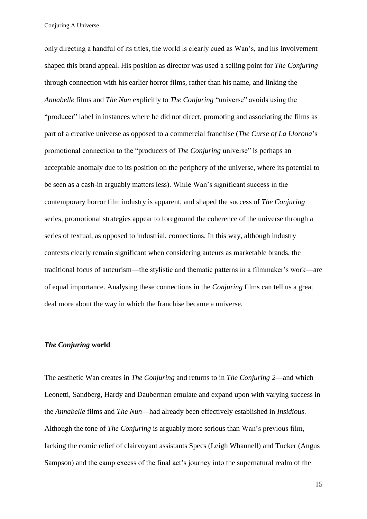only directing a handful of its titles, the world is clearly cued as Wan's, and his involvement shaped this brand appeal. His position as director was used a selling point for *The Conjuring* through connection with his earlier horror films, rather than his name, and linking the *Annabelle* films and *The Nun* explicitly to *The Conjuring* "universe" avoids using the "producer" label in instances where he did not direct, promoting and associating the films as part of a creative universe as opposed to a commercial franchise (*The Curse of La Llorona*'s promotional connection to the "producers of *The Conjuring* universe" is perhaps an acceptable anomaly due to its position on the periphery of the universe, where its potential to be seen as a cash-in arguably matters less). While Wan's significant success in the contemporary horror film industry is apparent, and shaped the success of *The Conjuring* series, promotional strategies appear to foreground the coherence of the universe through a series of textual, as opposed to industrial, connections. In this way, although industry contexts clearly remain significant when considering auteurs as marketable brands, the traditional focus of auteurism—the stylistic and thematic patterns in a filmmaker's work—are of equal importance. Analysing these connections in the *Conjuring* films can tell us a great deal more about the way in which the franchise became a universe.

#### *The Conjuring* **world**

The aesthetic Wan creates in *The Conjuring* and returns to in *The Conjuring 2*—and which Leonetti, Sandberg, Hardy and Dauberman emulate and expand upon with varying success in the *Annabelle* films and *The Nun*—had already been effectively established in *Insidious*. Although the tone of *The Conjuring* is arguably more serious than Wan's previous film, lacking the comic relief of clairvoyant assistants Specs (Leigh Whannell) and Tucker (Angus Sampson) and the camp excess of the final act's journey into the supernatural realm of the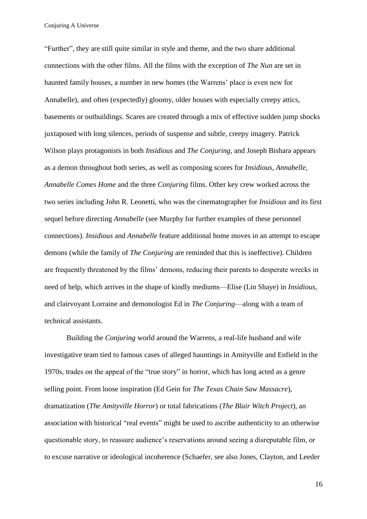"Further", they are still quite similar in style and theme, and the two share additional connections with the other films. All the films with the exception of *The Nun* are set in haunted family houses, a number in new homes (the Warrens' place is even new for Annabelle), and often (expectedly) gloomy, older houses with especially creepy attics, basements or outbuildings. Scares are created through a mix of effective sudden jump shocks juxtaposed with long silences, periods of suspense and subtle, creepy imagery. Patrick Wilson plays protagonists in both *Insidious* and *The Conjuring*, and Joseph Bishara appears as a demon throughout both series, as well as composing scores for *Insidious*, *Annabelle*, *Annabelle Comes Home* and the three *Conjuring* films. Other key crew worked across the two series including John R. Leonetti, who was the cinematographer for *Insidious* and its first sequel before directing *Annabelle* (see Murphy for further examples of these personnel connections). *Insidious* and *Annabelle* feature additional home moves in an attempt to escape demons (while the family of *The Conjuring* are reminded that this is ineffective). Children are frequently threatened by the films' demons, reducing their parents to desperate wrecks in need of help, which arrives in the shape of kindly mediums—Elise (Lin Shaye) in *Insidious*, and clairvoyant Lorraine and demonologist Ed in *The Conjuring*—along with a team of technical assistants.

Building the *Conjuring* world around the Warrens, a real-life husband and wife investigative team tied to famous cases of alleged hauntings in Amityville and Enfield in the 1970s, trades on the appeal of the "true story" in horror, which has long acted as a genre selling point. From loose inspiration (Ed Gein for *The Texas Chain Saw Massacre*), dramatization (*The Amityville Horror*) or total fabrications (*The Blair Witch Project*), an association with historical "real events" might be used to ascribe authenticity to an otherwise questionable story, to reassure audience's reservations around seeing a disreputable film, or to excuse narrative or ideological incoherence (Schaefer, see also Jones, Clayton, and Leeder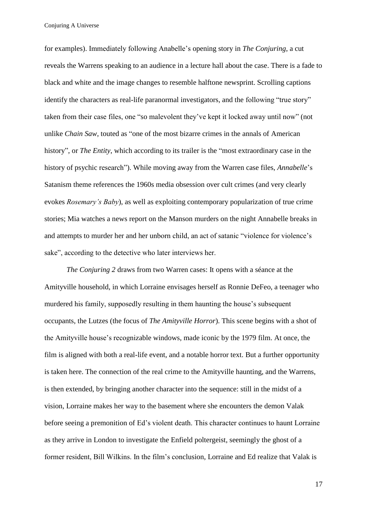for examples). Immediately following Anabelle's opening story in *The Conjuring*, a cut reveals the Warrens speaking to an audience in a lecture hall about the case. There is a fade to black and white and the image changes to resemble halftone newsprint. Scrolling captions identify the characters as real-life paranormal investigators, and the following "true story" taken from their case files, one "so malevolent they've kept it locked away until now" (not unlike *Chain Saw*, touted as "one of the most bizarre crimes in the annals of American history", or *The Entity*, which according to its trailer is the "most extraordinary case in the history of psychic research"). While moving away from the Warren case files, *Annabelle*'s Satanism theme references the 1960s media obsession over cult crimes (and very clearly evokes *Rosemary's Baby*), as well as exploiting contemporary popularization of true crime stories; Mia watches a news report on the Manson murders on the night Annabelle breaks in and attempts to murder her and her unborn child, an act of satanic "violence for violence's sake", according to the detective who later interviews her.

*The Conjuring 2* draws from two Warren cases: It opens with a séance at the Amityville household, in which Lorraine envisages herself as Ronnie DeFeo, a teenager who murdered his family, supposedly resulting in them haunting the house's subsequent occupants, the Lutzes (the focus of *The Amityville Horror*). This scene begins with a shot of the Amityville house's recognizable windows, made iconic by the 1979 film. At once, the film is aligned with both a real-life event, and a notable horror text. But a further opportunity is taken here. The connection of the real crime to the Amityville haunting, and the Warrens, is then extended, by bringing another character into the sequence: still in the midst of a vision, Lorraine makes her way to the basement where she encounters the demon Valak before seeing a premonition of Ed's violent death. This character continues to haunt Lorraine as they arrive in London to investigate the Enfield poltergeist, seemingly the ghost of a former resident, Bill Wilkins. In the film's conclusion, Lorraine and Ed realize that Valak is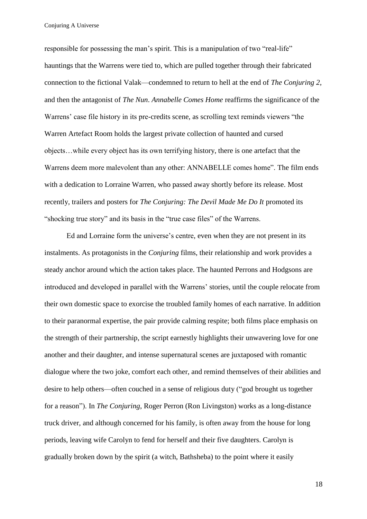responsible for possessing the man's spirit. This is a manipulation of two "real-life" hauntings that the Warrens were tied to, which are pulled together through their fabricated connection to the fictional Valak—condemned to return to hell at the end of *The Conjuring 2*, and then the antagonist of *The Nun*. *Annabelle Comes Home* reaffirms the significance of the Warrens' case file history in its pre-credits scene, as scrolling text reminds viewers "the Warren Artefact Room holds the largest private collection of haunted and cursed objects…while every object has its own terrifying history, there is one artefact that the Warrens deem more malevolent than any other: ANNABELLE comes home". The film ends with a dedication to Lorraine Warren, who passed away shortly before its release. Most recently, trailers and posters for *The Conjuring: The Devil Made Me Do It* promoted its "shocking true story" and its basis in the "true case files" of the Warrens.

Ed and Lorraine form the universe's centre, even when they are not present in its instalments. As protagonists in the *Conjuring* films, their relationship and work provides a steady anchor around which the action takes place. The haunted Perrons and Hodgsons are introduced and developed in parallel with the Warrens' stories, until the couple relocate from their own domestic space to exorcise the troubled family homes of each narrative. In addition to their paranormal expertise, the pair provide calming respite; both films place emphasis on the strength of their partnership, the script earnestly highlights their unwavering love for one another and their daughter, and intense supernatural scenes are juxtaposed with romantic dialogue where the two joke, comfort each other, and remind themselves of their abilities and desire to help others—often couched in a sense of religious duty ("god brought us together for a reason"). In *The Conjuring*, Roger Perron (Ron Livingston) works as a long-distance truck driver, and although concerned for his family, is often away from the house for long periods, leaving wife Carolyn to fend for herself and their five daughters. Carolyn is gradually broken down by the spirit (a witch, Bathsheba) to the point where it easily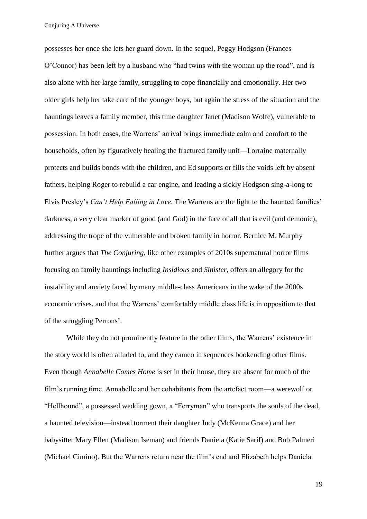possesses her once she lets her guard down. In the sequel, Peggy Hodgson (Frances O'Connor) has been left by a husband who "had twins with the woman up the road", and is also alone with her large family, struggling to cope financially and emotionally. Her two older girls help her take care of the younger boys, but again the stress of the situation and the hauntings leaves a family member, this time daughter Janet (Madison Wolfe), vulnerable to possession. In both cases, the Warrens' arrival brings immediate calm and comfort to the households, often by figuratively healing the fractured family unit—Lorraine maternally protects and builds bonds with the children, and Ed supports or fills the voids left by absent fathers, helping Roger to rebuild a car engine, and leading a sickly Hodgson sing-a-long to Elvis Presley's *Can't Help Falling in Love*. The Warrens are the light to the haunted families' darkness, a very clear marker of good (and God) in the face of all that is evil (and demonic), addressing the trope of the vulnerable and broken family in horror. Bernice M. Murphy further argues that *The Conjuring*, like other examples of 2010s supernatural horror films focusing on family hauntings including *Insidious* and *Sinister*, offers an allegory for the instability and anxiety faced by many middle-class Americans in the wake of the 2000s economic crises, and that the Warrens' comfortably middle class life is in opposition to that of the struggling Perrons'.

While they do not prominently feature in the other films, the Warrens' existence in the story world is often alluded to, and they cameo in sequences bookending other films. Even though *Annabelle Comes Home* is set in their house, they are absent for much of the film's running time. Annabelle and her cohabitants from the artefact room—a werewolf or "Hellhound", a possessed wedding gown, a "Ferryman" who transports the souls of the dead, a haunted television—instead torment their daughter Judy (McKenna Grace) and her babysitter Mary Ellen (Madison Iseman) and friends Daniela (Katie Sarif) and Bob Palmeri (Michael Cimino). But the Warrens return near the film's end and Elizabeth helps Daniela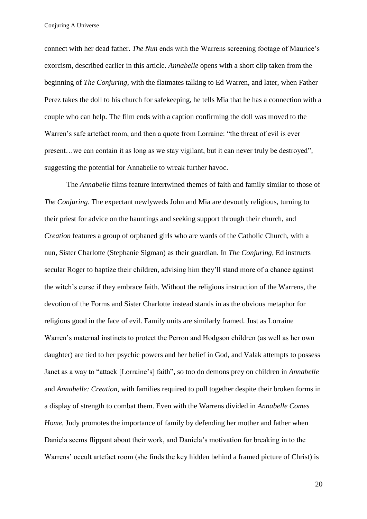connect with her dead father. *The Nun* ends with the Warrens screening footage of Maurice's exorcism, described earlier in this article. *Annabelle* opens with a short clip taken from the beginning of *The Conjuring*, with the flatmates talking to Ed Warren, and later, when Father Perez takes the doll to his church for safekeeping, he tells Mia that he has a connection with a couple who can help. The film ends with a caption confirming the doll was moved to the Warren's safe artefact room, and then a quote from Lorraine: "the threat of evil is ever present…we can contain it as long as we stay vigilant, but it can never truly be destroyed", suggesting the potential for Annabelle to wreak further havoc.

The *Annabelle* films feature intertwined themes of faith and family similar to those of *The Conjuring*. The expectant newlyweds John and Mia are devoutly religious, turning to their priest for advice on the hauntings and seeking support through their church, and *Creation* features a group of orphaned girls who are wards of the Catholic Church, with a nun, Sister Charlotte (Stephanie Sigman) as their guardian. In *The Conjuring*, Ed instructs secular Roger to baptize their children, advising him they'll stand more of a chance against the witch's curse if they embrace faith. Without the religious instruction of the Warrens, the devotion of the Forms and Sister Charlotte instead stands in as the obvious metaphor for religious good in the face of evil. Family units are similarly framed. Just as Lorraine Warren's maternal instincts to protect the Perron and Hodgson children (as well as her own daughter) are tied to her psychic powers and her belief in God, and Valak attempts to possess Janet as a way to "attack [Lorraine's] faith", so too do demons prey on children in *Annabelle* and *Annabelle: Creation*, with families required to pull together despite their broken forms in a display of strength to combat them. Even with the Warrens divided in *Annabelle Comes Home*, Judy promotes the importance of family by defending her mother and father when Daniela seems flippant about their work, and Daniela's motivation for breaking in to the Warrens' occult artefact room (she finds the key hidden behind a framed picture of Christ) is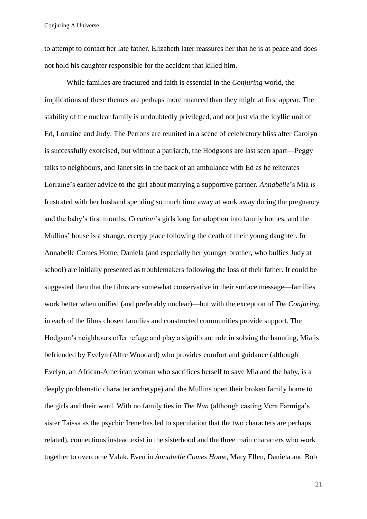to attempt to contact her late father. Elizabeth later reassures her that he is at peace and does not hold his daughter responsible for the accident that killed him.

While families are fractured and faith is essential in the *Conjuring* world, the implications of these themes are perhaps more nuanced than they might at first appear. The stability of the nuclear family is undoubtedly privileged, and not just via the idyllic unit of Ed, Lorraine and Judy. The Perrons are reunited in a scene of celebratory bliss after Carolyn is successfully exorcised, but without a patriarch, the Hodgsons are last seen apart—Peggy talks to neighbours, and Janet sits in the back of an ambulance with Ed as he reiterates Lorraine's earlier advice to the girl about marrying a supportive partner. *Annabelle*'s Mia is frustrated with her husband spending so much time away at work away during the pregnancy and the baby's first months. *Creation*'s girls long for adoption into family homes, and the Mullins' house is a strange, creepy place following the death of their young daughter. In Annabelle Comes Home, Daniela (and especially her younger brother, who bullies Judy at school) are initially presented as troublemakers following the loss of their father. It could be suggested then that the films are somewhat conservative in their surface message—families work better when unified (and preferably nuclear)—but with the exception of *The Conjuring*, in each of the films chosen families and constructed communities provide support. The Hodgson's neighbours offer refuge and play a significant role in solving the haunting, Mia is befriended by Evelyn (Alfre Woodard) who provides comfort and guidance (although Evelyn, an African-American woman who sacrifices herself to save Mia and the baby, is a deeply problematic character archetype) and the Mullins open their broken family home to the girls and their ward. With no family ties in *The Nun* (although casting Vera Farmiga's sister Taissa as the psychic Irene has led to speculation that the two characters are perhaps related), connections instead exist in the sisterhood and the three main characters who work together to overcome Valak. Even in *Annabelle Comes Home*, Mary Ellen, Daniela and Bob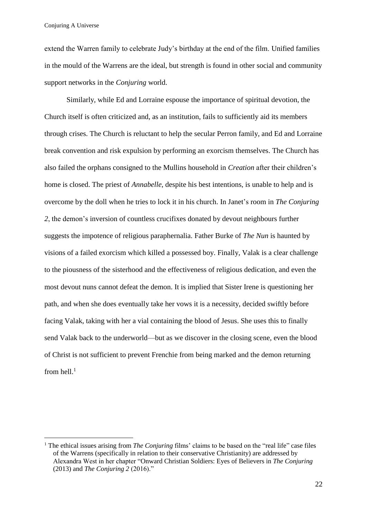1

extend the Warren family to celebrate Judy's birthday at the end of the film. Unified families in the mould of the Warrens are the ideal, but strength is found in other social and community support networks in the *Conjuring* world.

Similarly, while Ed and Lorraine espouse the importance of spiritual devotion, the Church itself is often criticized and, as an institution, fails to sufficiently aid its members through crises. The Church is reluctant to help the secular Perron family, and Ed and Lorraine break convention and risk expulsion by performing an exorcism themselves. The Church has also failed the orphans consigned to the Mullins household in *Creation* after their children's home is closed. The priest of *Annabelle*, despite his best intentions, is unable to help and is overcome by the doll when he tries to lock it in his church. In Janet's room in *The Conjuring 2*, the demon's inversion of countless crucifixes donated by devout neighbours further suggests the impotence of religious paraphernalia. Father Burke of *The Nun* is haunted by visions of a failed exorcism which killed a possessed boy. Finally, Valak is a clear challenge to the piousness of the sisterhood and the effectiveness of religious dedication, and even the most devout nuns cannot defeat the demon. It is implied that Sister Irene is questioning her path, and when she does eventually take her vows it is a necessity, decided swiftly before facing Valak, taking with her a vial containing the blood of Jesus. She uses this to finally send Valak back to the underworld—but as we discover in the closing scene, even the blood of Christ is not sufficient to prevent Frenchie from being marked and the demon returning from hell. $<sup>1</sup>$ </sup>

<sup>&</sup>lt;sup>1</sup> The ethical issues arising from *The Conjuring* films' claims to be based on the "real life" case files of the Warrens (specifically in relation to their conservative Christianity) are addressed by Alexandra West in her chapter "Onward Christian Soldiers: Eyes of Believers in *The Conjuring* (2013) and *The Conjuring 2* (2016)."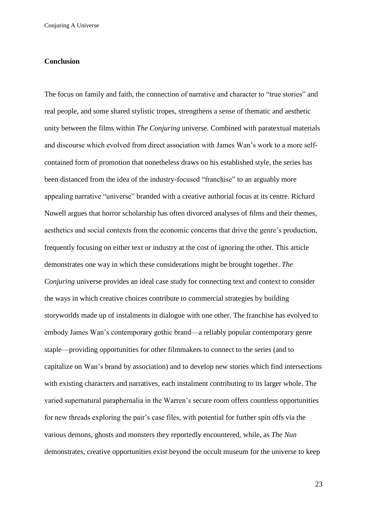## **Conclusion**

The focus on family and faith, the connection of narrative and character to "true stories" and real people, and some shared stylistic tropes, strengthens a sense of thematic and aesthetic unity between the films within *The Conjuring* universe. Combined with paratextual materials and discourse which evolved from direct association with James Wan's work to a more selfcontained form of promotion that nonetheless draws on his established style, the series has been distanced from the idea of the industry-focused "franchise" to an arguably more appealing narrative "universe" branded with a creative authorial focus at its centre. Richard Nowell argues that horror scholarship has often divorced analyses of films and their themes, aesthetics and social contexts from the economic concerns that drive the genre's production, frequently focusing on either text or industry at the cost of ignoring the other. This article demonstrates one way in which these considerations might be brought together. *The Conjuring* universe provides an ideal case study for connecting text and context to consider the ways in which creative choices contribute to commercial strategies by building storyworlds made up of instalments in dialogue with one other. The franchise has evolved to embody James Wan's contemporary gothic brand—a reliably popular contemporary genre staple—providing opportunities for other filmmakers to connect to the series (and to capitalize on Wan's brand by association) and to develop new stories which find intersections with existing characters and narratives, each instalment contributing to its larger whole. The varied supernatural paraphernalia in the Warren's secure room offers countless opportunities for new threads exploring the pair's case files, with potential for further spin offs via the various demons, ghosts and monsters they reportedly encountered, while, as *The Nun* demonstrates, creative opportunities exist beyond the occult museum for the universe to keep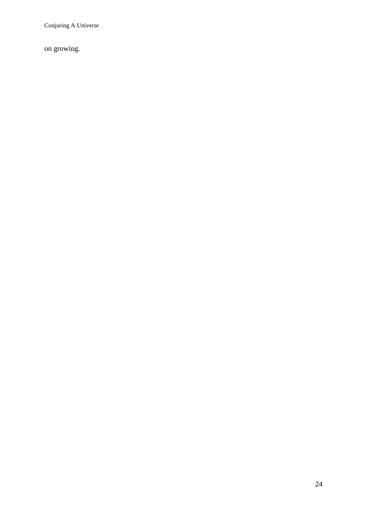on growing.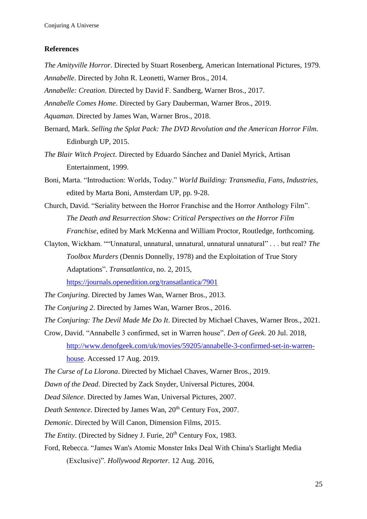### **References**

*The Amityville Horror*. Directed by Stuart Rosenberg, American International Pictures, 1979. *Annabelle*. Directed by John R. Leonetti, Warner Bros., 2014.

*Annabelle: Creation*. Directed by David F. Sandberg, Warner Bros., 2017.

*Annabelle Comes Home*. Directed by Gary Dauberman, Warner Bros., 2019.

*Aquaman*. Directed by James Wan, Warner Bros., 2018.

- Bernard, Mark. *Selling the Splat Pack: The DVD Revolution and the American Horror Film.*  Edinburgh UP, 2015.
- *The Blair Witch Project*. Directed by Eduardo Sánchez and Daniel Myrick, Artisan Entertainment, 1999.
- Boni, Marta. "Introduction: Worlds, Today." *World Building: Transmedia, Fans, Industries,*  edited by Marta Boni*,* Amsterdam UP, pp. 9-28.
- Church, David. "Seriality between the Horror Franchise and the Horror Anthology Film". *The Death and Resurrection Show: Critical Perspectives on the Horror Film Franchise*, edited by Mark McKenna and William Proctor, Routledge, forthcoming.
- Clayton, Wickham. ""Unnatural, unnatural, unnatural, unnatural unnatural" . . . but real? *The Toolbox Murders* (Dennis Donnelly, 1978) and the Exploitation of True Story Adaptations". *Transatlantica*, no. 2, 2015,

<https://journals.openedition.org/transatlantica/7901>

*The Conjuring*. Directed by James Wan, Warner Bros., 2013.

*The Conjuring 2*. Directed by James Wan, Warner Bros., 2016.

*The Conjuring: The Devil Made Me Do It*. Directed by Michael Chaves, Warner Bros., 2021.

Crow, David. "Annabelle 3 confirmed, set in Warren house". *Den of Geek*. 20 Jul. 2018, [http://www.denofgeek.com/uk/movies/59205/annabelle-3-confirmed-set-in-warren](http://www.denofgeek.com/uk/movies/59205/annabelle-3-confirmed-set-in-warren-house)[house.](http://www.denofgeek.com/uk/movies/59205/annabelle-3-confirmed-set-in-warren-house) Accessed 17 Aug. 2019.

*The Curse of La Llorona*. Directed by Michael Chaves, Warner Bros., 2019.

*Dawn of the Dead*. Directed by Zack Snyder, Universal Pictures, 2004.

*Dead Silence*. Directed by James Wan, Universal Pictures, 2007.

*Death Sentence*. Directed by James Wan, 20<sup>th</sup> Century Fox, 2007.

*Demonic*. Directed by Will Canon, Dimension Films, 2015.

*The Entity.* (Directed by Sidney J. Furie, 20<sup>th</sup> Century Fox, 1983.

Ford, Rebecca. "James Wan's Atomic Monster Inks Deal With China's Starlight Media (Exclusive)". *Hollywood Reporter.* 12 Aug. 2016,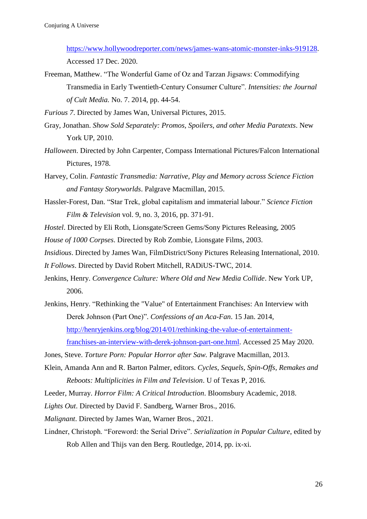[https://www.hollywoodreporter.com/news/james-wans-atomic-monster-inks-919128.](https://www.hollywoodreporter.com/news/james-wans-atomic-monster-inks-919128) Accessed 17 Dec. 2020.

Freeman, Matthew. "The Wonderful Game of Oz and Tarzan Jigsaws: Commodifying Transmedia in Early Twentieth-Century Consumer Culture". *Intensities: the Journal of Cult Media.* No. 7. 2014, pp. 44-54.

*Furious 7*. Directed by James Wan, Universal Pictures, 2015.

- Gray, Jonathan. *Show Sold Separately: Promos, Spoilers, and other Media Paratexts*. New York UP, 2010.
- *Halloween*. Directed by John Carpenter, Compass International Pictures/Falcon International Pictures, 1978.
- Harvey, Colin. *Fantastic Transmedia: Narrative, Play and Memory across Science Fiction and Fantasy Storyworlds*. Palgrave Macmillan, 2015.
- Hassler-Forest, Dan. "Star Trek, global capitalism and immaterial labour." *Science Fiction Film & Television* vol. 9, no. 3, 2016, pp. 371-91.

*Hostel*. Directed by Eli Roth, Lionsgate/Screen Gems/Sony Pictures Releasing, 2005

*House of 1000 Corpses*. Directed by Rob Zombie, Lionsgate Films, 2003.

*Insidious*. Directed by James Wan, FilmDistrict/Sony Pictures Releasing International, 2010.

*It Follows*. Directed by David Robert Mitchell, RADiUS-TWC, 2014.

- Jenkins, Henry. *Convergence Culture: Where Old and New Media Collide*. New York UP, 2006.
- Jenkins, Henry. "Rethinking the "Value" of Entertainment Franchises: An Interview with Derek Johnson (Part One)". *Confessions of an Aca-Fan*. 15 Jan. 2014, [http://henryjenkins.org/blog/2014/01/rethinking-the-value-of-entertainment](http://henryjenkins.org/blog/2014/01/rethinking-the-value-of-entertainment-franchises-an-interview-with-derek-johnson-part-one.html)[franchises-an-interview-with-derek-johnson-part-one.html.](http://henryjenkins.org/blog/2014/01/rethinking-the-value-of-entertainment-franchises-an-interview-with-derek-johnson-part-one.html) Accessed 25 May 2020.
- Jones, Steve. *Torture Porn: Popular Horror after Saw.* Palgrave Macmillan, 2013.
- Klein, Amanda Ann and R. Barton Palmer, editors. *Cycles, Sequels, Spin-Offs, Remakes and Reboots: Multiplicities in Film and Television*. U of Texas P, 2016.
- Leeder, Murray. *Horror Film: A Critical Introduction*. Bloomsbury Academic, 2018.

*Lights Out*. Directed by David F. Sandberg, Warner Bros., 2016.

*Malignant*. Directed by James Wan, Warner Bros., 2021.

Lindner, Christoph. "Foreword: the Serial Drive". *Serialization in Popular Culture*, edited by Rob Allen and Thijs van den Berg. Routledge, 2014, pp. ix-xi.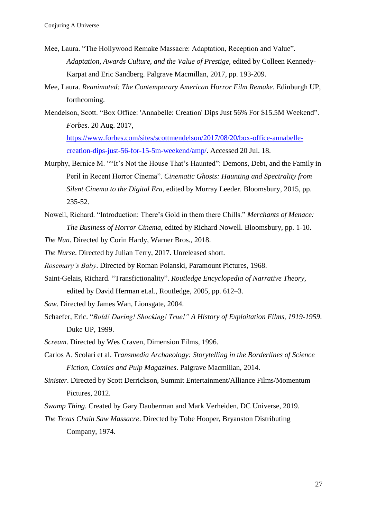- Mee, Laura. "The Hollywood Remake Massacre: Adaptation, Reception and Value". *Adaptation, Awards Culture, and the Value of Prestige,* edited by Colleen Kennedy-Karpat and Eric Sandberg. Palgrave Macmillan, 2017, pp. 193-209.
- Mee, Laura. *Reanimated: The Contemporary American Horror Film Remake*. Edinburgh UP, forthcoming.
- Mendelson, Scott. "Box Office: 'Annabelle: Creation' Dips Just 56% For \$15.5M Weekend". *Forbes*. 20 Aug. 2017, [https://www.forbes.com/sites/scottmendelson/2017/08/20/box-office-annabelle-](https://www.forbes.com/sites/scottmendelson/2017/08/20/box-office-annabelle-creation-dips-just-56-for-15-5m-weekend/amp/)

[creation-dips-just-56-for-15-5m-weekend/amp/.](https://www.forbes.com/sites/scottmendelson/2017/08/20/box-office-annabelle-creation-dips-just-56-for-15-5m-weekend/amp/) Accessed 20 Jul. 18.

- Murphy, Bernice M. ""It's Not the House That's Haunted": Demons, Debt, and the Family in Peril in Recent Horror Cinema". *Cinematic Ghosts: Haunting and Spectrality from Silent Cinema to the Digital Era*, edited by Murray Leeder. Bloomsbury, 2015, pp. 235-52.
- Nowell, Richard. "Introduction: There's Gold in them there Chills." *Merchants of Menace: The Business of Horror Cinema*, edited by Richard Nowell. Bloomsbury, pp. 1-10.

*The Nun*. Directed by Corin Hardy, Warner Bros., 2018.

*The Nurse*. Directed by Julian Terry, 2017. Unreleased short.

*Rosemary's Baby*. Directed by Roman Polanski, Paramount Pictures, 1968.

- Saint-Gelais, Richard. "Transfictionality". *Routledge Encyclopedia of Narrative Theory*, edited by David Herman et.al., Routledge, 2005, pp. 612–3.
- *Saw*. Directed by James Wan, Lionsgate, 2004.
- Schaefer, Eric. "*Bold! Daring! Shocking! True!" A History of Exploitation Films, 1919-1959*. Duke UP, 1999.
- *Scream*. Directed by Wes Craven, Dimension Films, 1996.
- Carlos A. Scolari et al. *Transmedia Archaeology: Storytelling in the Borderlines of Science Fiction, Comics and Pulp Magazines*. Palgrave Macmillan, 2014.
- *Sinister*. Directed by Scott Derrickson, Summit Entertainment/Alliance Films/Momentum Pictures, 2012.

*Swamp Thing*. Created by Gary Dauberman and Mark Verheiden, DC Universe, 2019.

*The Texas Chain Saw Massacre*. Directed by Tobe Hooper, Bryanston Distributing Company, 1974.